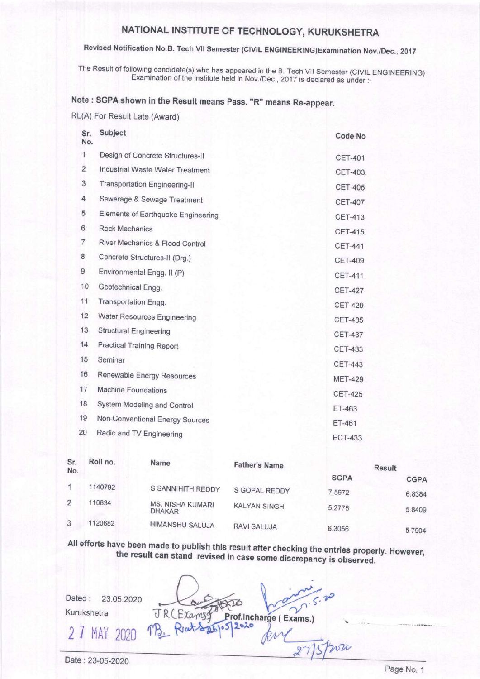# Revised Notification No.B. Tech VII Semester (CIVIL ENGINEERING)Examination Nov./Dec., 2017

The Result of following candidate(s) who has appeared in the B. Tech VII Semester (CIVIL ENGINEERING) Examination of the institute held in Nov./Dec., 2017 is declared as under :-

# Note : SGPA shown in the Result means pass. "R" means Re-appear.

RL(A) For Result Late (Award)

| Sr.<br>No.     | Subject                              | Code No        |
|----------------|--------------------------------------|----------------|
| 1              | Design of Concrete Structures-II     | <b>CET-401</b> |
| $\overline{2}$ | Industrial Waste Water Treatment     | CET-403.       |
| 3              | <b>Transportation Engineering-II</b> | <b>CET-405</b> |
| 4              | Sewerage & Sewage Treatment          | <b>CET-407</b> |
| 5              | Elements of Earthquake Engineering   | <b>CET-413</b> |
| 6              | <b>Rock Mechanics</b>                | <b>CET-415</b> |
| $\overline{7}$ | River Mechanics & Flood Control      | <b>CET-441</b> |
| 8              | Concrete Structures-II (Drg.)        | <b>CET-409</b> |
| $\overline{9}$ | Environmental Engg. II (P)           | CET-411.       |
| 10             | Geotechnical Engg.                   | <b>CET-427</b> |
| 11             | Transportation Engg.                 | <b>CET-429</b> |
| 12             | Water Resources Engineering          | <b>CET-435</b> |
| 13             | <b>Structural Engineering</b>        | <b>CET-437</b> |
| 14             | <b>Practical Training Report</b>     | <b>CET-433</b> |
| 15             | Seminar                              | <b>CET-443</b> |
| 16             | Renewable Energy Resources           | <b>MET-429</b> |
| 17             | Machine Foundations                  | <b>CET-425</b> |
| 18             | System Modeling and Control          | ET-463         |
| 19             | Non-Conventional Energy Sources      | ET-461         |
| 20             | Radio and TV Engineering             | <b>ECT-433</b> |

| Sr.<br>No. | Roll no. | Name                                     | <b>Father's Name</b> |             | <b>Result</b> |
|------------|----------|------------------------------------------|----------------------|-------------|---------------|
|            |          |                                          |                      | <b>SGPA</b> | <b>CGPA</b>   |
|            | 1140792  | S SANNIHITH REDDY                        | S GOPAL REDDY        | 7.5972      | 6.8384        |
| 2          | 110834   | <b>MS. NISHA KUMARI</b><br><b>DHAKAR</b> | <b>KALYAN SINGH</b>  | 5.2778      | 5.8409        |
| 3          | 1120682  | <b>HIMANSHU SALUJA</b>                   | <b>RAVI SALUJA</b>   | 6.3056      | 5.7904        |

All efforts have been made to publish this result after checking the entries properly. However, the result can stand revised in case some discrepancy is observed.

| Dated:<br>23.05.2020 |                                             |  |
|----------------------|---------------------------------------------|--|
|                      | 7 R (Example Prof. Incharge (Exams.)<br>bow |  |
| Date: 23-05-2020     |                                             |  |

Page No. 1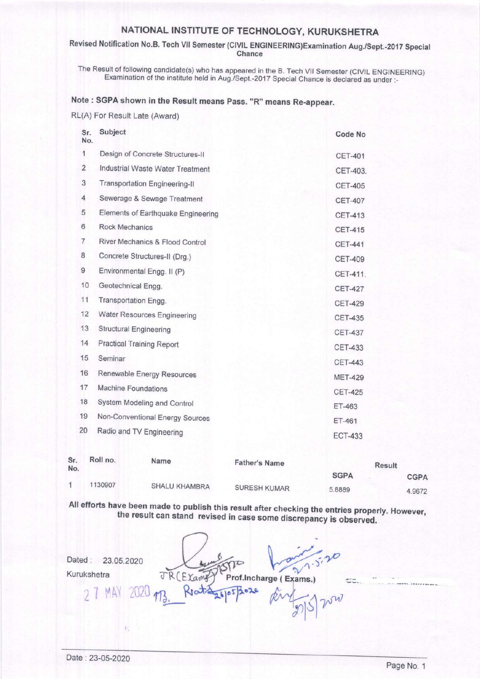### Revised Notification No.B. Tech Vll semester (clvlL ENGINEERING)Examination Aug./sept.-2017 speciat Chance

The Result of following candidate(s) who has appeared in the B. Tech VII Semester (CIVIL ENGINEERING) Examination of the institute held in Aug./Sept.-2O17 Special Chance is declared as under :-

## Note : SGPA shown in the Result means Pass. "R" means Re-appear.

RL(A) For Result Late (Award)

| Sr.<br>No.       | Subject                              | Code No        |
|------------------|--------------------------------------|----------------|
| 1                | Design of Concrete Structures-II     | <b>CET-401</b> |
| 2                | Industrial Waste Water Treatment     | CET-403.       |
| 3                | <b>Transportation Engineering-II</b> | <b>CET-405</b> |
| 4                | Sewerage & Sewage Treatment          | <b>CET-407</b> |
| 5                | Elements of Earthquake Engineering   | <b>CET-413</b> |
| 6                | <b>Rock Mechanics</b>                | <b>CET-415</b> |
| $\overline{7}$   | River Mechanics & Flood Control      | <b>CET-441</b> |
| 8                | Concrete Structures-II (Drg.)        | <b>CET-409</b> |
| $\boldsymbol{9}$ | Environmental Engg. II (P)           | CET-411.       |
| 10               | Geotechnical Engg.                   | <b>CET-427</b> |
| 11               | Transportation Engg.                 | <b>CET-429</b> |
| 12               | Water Resources Engineering          | <b>CET-435</b> |
| 13               | <b>Structural Engineering</b>        | <b>CET-437</b> |
| 14               | <b>Practical Training Report</b>     | <b>CET-433</b> |
| 15               | Seminar                              | <b>CET-443</b> |
| 16               | Renewable Energy Resources           | <b>MET-429</b> |
| 17               | <b>Machine Foundations</b>           | <b>CET-425</b> |
| 18               | System Modeling and Control          | ET-463         |
| 19               | Non-Conventional Energy Sources      | ET-461         |
| 20               | Radio and TV Engineering             | <b>ECT-433</b> |
|                  |                                      |                |

| Sr.<br>No. | Roll no. | Name                 | <b>Father's Name</b> | <b>Result</b> |             |  |
|------------|----------|----------------------|----------------------|---------------|-------------|--|
|            |          |                      |                      | <b>SGPA</b>   | <b>CGPA</b> |  |
|            | 1130907  | <b>SHALU KHAMBRA</b> | <b>SURESH KUMAR</b>  | 5.8889        | 4.9672      |  |

All efforts have been made to publish this result after checking the entries properly. However, the result can stand revised in case some discrepancy is observed.

Dated: 23.05.2020  $\alpha$ Kurukshetra R (Examp Prof.Incharge (Exams.) 2 7 MAY  $\frac{1}{20}$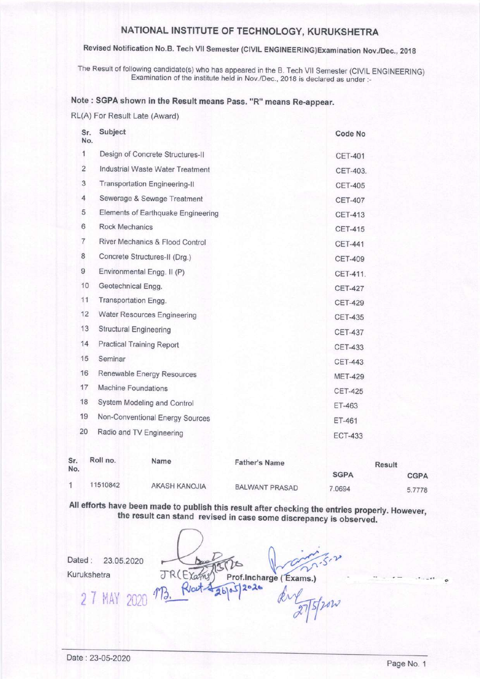# Revised Notification No.B. Tech VII Semester (CIVIL ENGINEERING)Examination Nov./Dec., 2018

The Result of following candidate(s) who has appeared in the B. Tech Vll semester (clvlL ENGINEERING) Examination of the institute held in Nov./Dec., 2018 is declared as under :-

#### Note : SGPA shown in the Result means Pass. "R" means Re-appear.

RL(A) For Result Late (Award)

| Sr.<br>No.     | Subject                              | Code No        |
|----------------|--------------------------------------|----------------|
| 1              | Design of Concrete Structures-II     | <b>CET-401</b> |
| $\overline{c}$ | Industrial Waste Water Treatment     | CET-403.       |
| 3              | <b>Transportation Engineering-II</b> | <b>CET-405</b> |
| 4              | Sewerage & Sewage Treatment          | <b>CET-407</b> |
| 5              | Elements of Earthquake Engineering   | <b>CET-413</b> |
| 6              | <b>Rock Mechanics</b>                | <b>CET-415</b> |
| 7              | River Mechanics & Flood Control      | <b>CET-441</b> |
| 8              | Concrete Structures-II (Drg.)        | <b>CET-409</b> |
| $\overline{9}$ | Environmental Engg. II (P)           | CET-411.       |
| 10             | Geotechnical Engg.                   | <b>CET-427</b> |
| 11             | Transportation Engg.                 | <b>CET-429</b> |
| 12             | Water Resources Engineering          | <b>CET-435</b> |
| 13             | <b>Structural Engineering</b>        | <b>CET-437</b> |
| 14             | <b>Practical Training Report</b>     | <b>CET-433</b> |
| 15             | Seminar                              | <b>CET-443</b> |
| 16             | Renewable Energy Resources           | <b>MET-429</b> |
| 17             | <b>Machine Foundations</b>           | <b>CET-425</b> |
| 18             | System Modeling and Control          | ET-463         |
| 19             | Non-Conventional Energy Sources      | ET-461         |
| 20             | Radio and TV Engineering             | <b>ECT-433</b> |

| Sr.<br>No. | Roll no. | Name          | <b>Father's Name</b>  |             | Result      |
|------------|----------|---------------|-----------------------|-------------|-------------|
|            |          |               |                       | <b>SGPA</b> | <b>CGPA</b> |
|            | 11510842 | AKASH KANOJIA | <b>BALWANT PRASAD</b> | 7.0694      | 5.7778      |

All efforts have been made to publish this result after checking the entries properly. However, the result can stand revised in case some discrepancy is observed.

Dated : 23.05.2020 Kurukshetra Prof.Incharge (Exams.)  $2026$ 2 7 MAY 2 Tspow

 $\mathcal{L}^{\mathcal{L}}$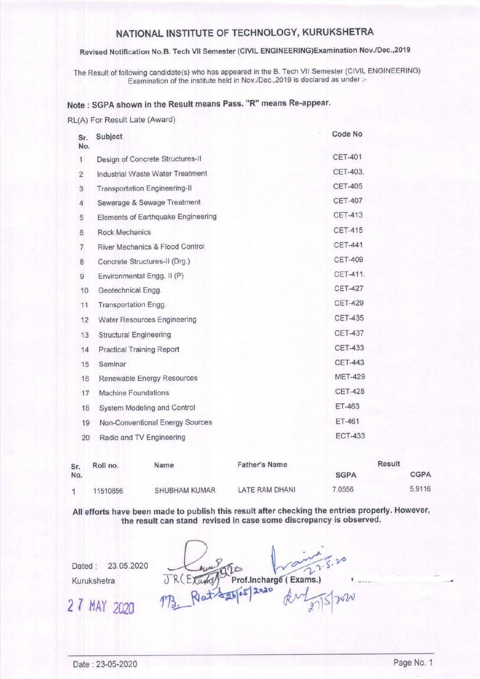### Revised Notification No.B. Tech Vll Semester (ClVlL ENGINEERING)Examination Nov./Dec.,2019

The Result of following candidate(s) who has appeared in the B. Tech Vll Semester (ClVlL ENGINEERING) Examination of the institute held in Nov./Dec.,2019 is declared as under:-

## Note : SGPA shown in the Result means Pass. "R" means Re-appear'

RL(A) For Result Late (Award)

| Sr.<br>No.     | Subject                              | Code No        |
|----------------|--------------------------------------|----------------|
| 1              | Design of Concrete Structures-II     | <b>CET-401</b> |
| 2              | Industrial Waste Water Treatment     | CET-403.       |
| 3              | <b>Transportation Engineering-II</b> | <b>CET-405</b> |
| 4              | Sewerage & Sewage Treatment          | <b>CET-407</b> |
| 5              | Elements of Earthquake Engineering   | <b>CET-413</b> |
| 6              | <b>Rock Mechanics</b>                | <b>CET-415</b> |
| $\overline{7}$ | River Mechanics & Flood Control      | <b>CET-441</b> |
| $\,8\,$        | Concrete Structures-II (Drg.)        | <b>CET-409</b> |
| $\overline{9}$ | Environmental Engg. II (P)           | CET-411.       |
| 10             | Geotechnical Engg.                   | <b>CET-427</b> |
| 11             | Transportation Engg.                 | <b>CET-429</b> |
| 12             | <b>Water Resources Engineering</b>   | <b>CET-435</b> |
| 13             | <b>Structural Engineering</b>        | <b>CET-437</b> |
| 14             | <b>Practical Training Report</b>     | <b>CET-433</b> |
| 15             | Seminar                              | <b>CET-443</b> |
| 16             | Renewable Energy Resources           | <b>MET-429</b> |
| 17             | <b>Machine Foundations</b>           | <b>CET-425</b> |
| 18             | System Modeling and Control          | ET-463         |
| 19             | Non-Conventional Energy Sources      | ET-461         |
| 20             | Radio and TV Engineering             | <b>ECT-433</b> |
|                |                                      |                |

| Sr.<br>No. | Roll no. | Name                 | <b>Father's Name</b> |             | Result      |
|------------|----------|----------------------|----------------------|-------------|-------------|
|            |          |                      |                      | <b>SGPA</b> | <b>CGPA</b> |
|            | 11510856 | <b>SHUBHAM KUMAR</b> | LATE RAM DHANI       | 7.0556      | 5.9116      |

All efforts have been made to publish this result after checking the entries properly. However, the result can stand revised in case some discrepancy is observed.

 $5.20$ 

Dated: 23.05.2020 Kurukshetra 2 7 MAY 2020  $\overline{\partial}R($ 

Prof.Incharge (Exams.) 2020  $R_1$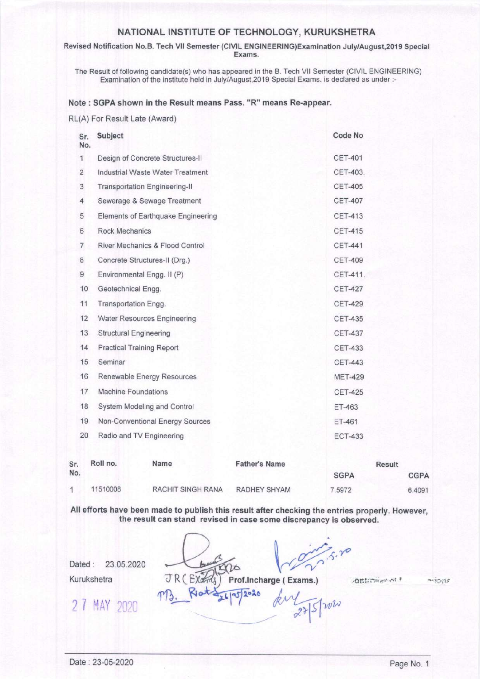Revised Notification No.B. Tech Vll Semester (ClVlL ENGINEERING)Examination July/August,2019 Special Exams.

The Result of following candidate(s) who has appeared in the B. Tech Vll Semester (ClVlL ENGINEERING) Examination of the institute held in July/August,2019 Special Exams. is declared as under:-

#### Note : SGPA shown in the Result means Pass. "R" means Re-appear.

RL(A) For Result Late (Award)

| Sr.<br>No.   | Subject                              | Code No        |
|--------------|--------------------------------------|----------------|
| $\mathbf{1}$ | Design of Concrete Structures-II     | <b>CET-401</b> |
| 2            | Industrial Waste Water Treatment     | CET-403.       |
| 3            | <b>Transportation Engineering-II</b> | <b>CET-405</b> |
| 4            | Sewerage & Sewage Treatment          | <b>CET-407</b> |
| 5            | Elements of Earthquake Engineering   | <b>CET-413</b> |
| 6            | <b>Rock Mechanics</b>                | <b>CET-415</b> |
| 7            | River Mechanics & Flood Control      | <b>CET-441</b> |
| 8            | Concrete Structures-II (Drg.)        | <b>CET-409</b> |
| 9            | Environmental Engg. II (P)           | CET-411.       |
| 10           | Geotechnical Engg.                   | <b>CET-427</b> |
| 11           | Transportation Engg.                 | <b>CET-429</b> |
| 12           | <b>Water Resources Engineering</b>   | <b>CET-435</b> |
| 13           | <b>Structural Engineering</b>        | <b>CET-437</b> |
| 14           | <b>Practical Training Report</b>     | <b>CET-433</b> |
| 15           | Seminar                              | <b>CET-443</b> |
| 16           | Renewable Energy Resources           | <b>MET-429</b> |
| 17           | <b>Machine Foundations</b>           | <b>CET-425</b> |
| 18           | System Modeling and Control          | ET-463         |
| 19           | Non-Conventional Energy Sources      | ET-461         |
| 20           | Radio and TV Engineering             | <b>ECT-433</b> |

| Sr. | Roll no. | Name              | <b>Father's Name</b> |             | <b>Result</b> |
|-----|----------|-------------------|----------------------|-------------|---------------|
| No. |          |                   |                      | <b>SGPA</b> | <b>CGPA</b>   |
|     | 11510008 | RACHIT SINGH RANA | RADHEY SHYAM         | 7.5972      | 6.4091        |

All efforts have been made to publish this result after checking the entries properly. However the result can stand revised in case some discrepancy is observed.

Dated : 23.05.2020 Kurukshetra

d R ( Exams.) Prof.lncharge ( Exams.) infinition of the Southwest of the Second S  $m_3$ . Rot  $\frac{1}{26}$  ps/2020 five of metri

 $V$  $\sim$ 

arions

2 7 MAY 2020